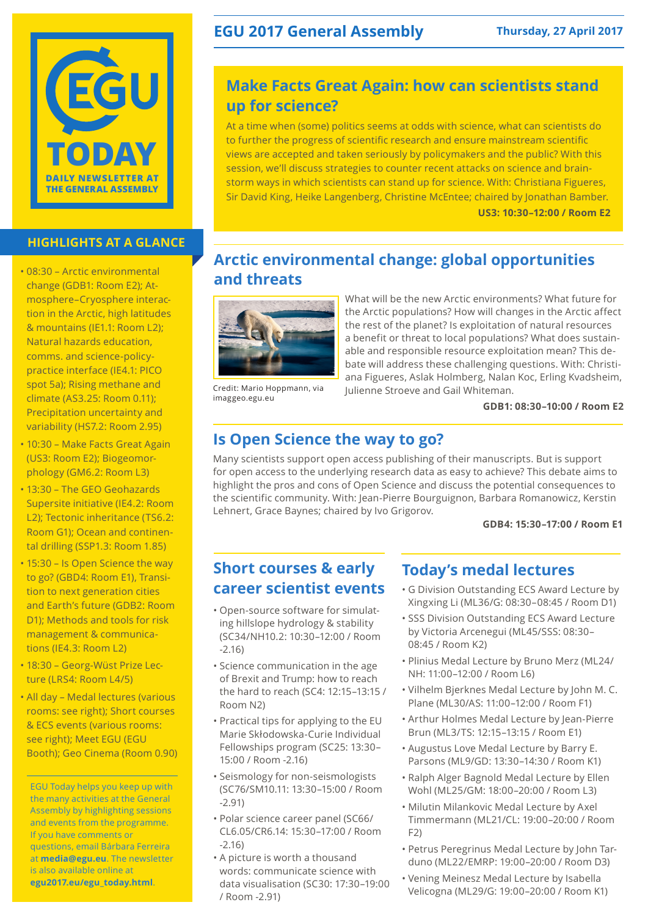

### **HIGHLIGHTS AT A GLANCE**

- 08:30 Arctic environmental change (GDB1: Room E2); Atmosphere–Cryosphere interaction in the Arctic, high latitudes & mountains (IE1.1: Room L2); Natural hazards education, comms. and science-policypractice interface (IE4.1: PICO spot 5a); Rising methane and climate (AS3.25: Room 0.11); Precipitation uncertainty and variability (HS7.2: Room 2.95)
- 10:30 Make Facts Great Again (US3: Room E2); Biogeomorphology (GM6.2: Room L3)
- 13:30 The GEO Geohazards Supersite initiative (IE4.2: Room L2); Tectonic inheritance (TS6.2: Room G1); Ocean and continental drilling (SSP1.3: Room 1.85)
- 15:30 Is Open Science the way to go? (GBD4: Room E1), Transition to next generation cities and Earth's future (GDB2: Room D1); Methods and tools for risk management & communications (IE4.3: Room L2)
- 18:30 Georg-Wüst Prize Lecture (LRS4: Room L4/5)
- All day Medal lectures (various rooms: see right); Short courses & ECS events (various rooms: see right); Meet EGU (EGU Booth); Geo Cinema (Room 0.90)

EGU Today helps you keep up with the many activities at the General Assembly by highlighting sessions and events from the programme. If you have comments or questions, email Bárbara Ferreira at **media@egu.eu**. The newsletter is also available online at **egu2017.eu/egu\_today.html**.

## **EGU 2017 General Assembly Thursday, 27 April 2017**

## **Make Facts Great Again: how can scientists stand up for science?**

At a time when (some) politics seems at odds with science, what can scientists do to further the progress of scientific research and ensure mainstream scientific views are accepted and taken seriously by policymakers and the public? With this session, we'll discuss strategies to counter recent attacks on science and brainstorm ways in which scientists can stand up for science. With: Christiana Figueres, Sir David King, Heike Langenberg, Christine McEntee; chaired by Jonathan Bamber. **US3: 10:30–12:00 / Room E2**

## **Arctic environmental change: global opportunities and threats**



Credit: Mario Hoppmann, via imaggeo.egu.eu

What will be the new Arctic environments? What future for the Arctic populations? How will changes in the Arctic affect the rest of the planet? Is exploitation of natural resources a benefit or threat to local populations? What does sustainable and responsible resource exploitation mean? This debate will address these challenging questions. With: Christiana Figueres, Aslak Holmberg, Nalan Koc, Erling Kvadsheim, Julienne Stroeve and Gail Whiteman.

#### **GDB1: 08:30–10:00 / Room E2**

## **Is Open Science the way to go?**

Many scientists support open access publishing of their manuscripts. But is support for open access to the underlying research data as easy to achieve? This debate aims to highlight the pros and cons of Open Science and discuss the potential consequences to the scientific community. With: Jean-Pierre Bourguignon, Barbara Romanowicz, Kerstin Lehnert, Grace Baynes; chaired by Ivo Grigorov.

**GDB4: 15:30–17:00 / Room E1**

## **Short courses & early career scientist events**

- Open-source software for simulating hillslope hydrology & stability (SC34/NH10.2: 10:30–12:00 / Room -2.16)
- Science communication in the age of Brexit and Trump: how to reach the hard to reach (SC4: 12:15–13:15 / Room N2)
- Practical tips for applying to the EU Marie Skłodowska-Curie Individual Fellowships program (SC25: 13:30– 15:00 / Room -2.16)
- Seismology for non-seismologists (SC76/SM10.11: 13:30–15:00 / Room -2.91)
- Polar science career panel (SC66/ CL6.05/CR6.14: 15:30–17:00 / Room -2.16)
- A picture is worth a thousand words: communicate science with data visualisation (SC30: 17:30–19:00 / Room -2.91)

## **Today's medal lectures**

- G Division Outstanding ECS Award Lecture by Xingxing Li (ML36/G: 08:30–08:45 / Room D1)
- SSS Division Outstanding ECS Award Lecture by Victoria Arcenegui (ML45/SSS: 08:30– 08:45 / Room K2)
- Plinius Medal Lecture by Bruno Merz (ML24/ NH: 11:00–12:00 / Room L6)
- Vilhelm Bjerknes Medal Lecture by John M. C. Plane (ML30/AS: 11:00–12:00 / Room F1)
- Arthur Holmes Medal Lecture by Jean-Pierre Brun (ML3/TS: 12:15–13:15 / Room E1)
- Augustus Love Medal Lecture by Barry E. Parsons (ML9/GD: 13:30–14:30 / Room K1)
- Ralph Alger Bagnold Medal Lecture by Ellen Wohl (ML25/GM: 18:00–20:00 / Room L3)
- Milutin Milankovic Medal Lecture by Axel Timmermann (ML21/CL: 19:00–20:00 / Room  $F(2)$
- Petrus Peregrinus Medal Lecture by John Tarduno (ML22/EMRP: 19:00–20:00 / Room D3)
- Vening Meinesz Medal Lecture by Isabella Velicogna (ML29/G: 19:00–20:00 / Room K1)